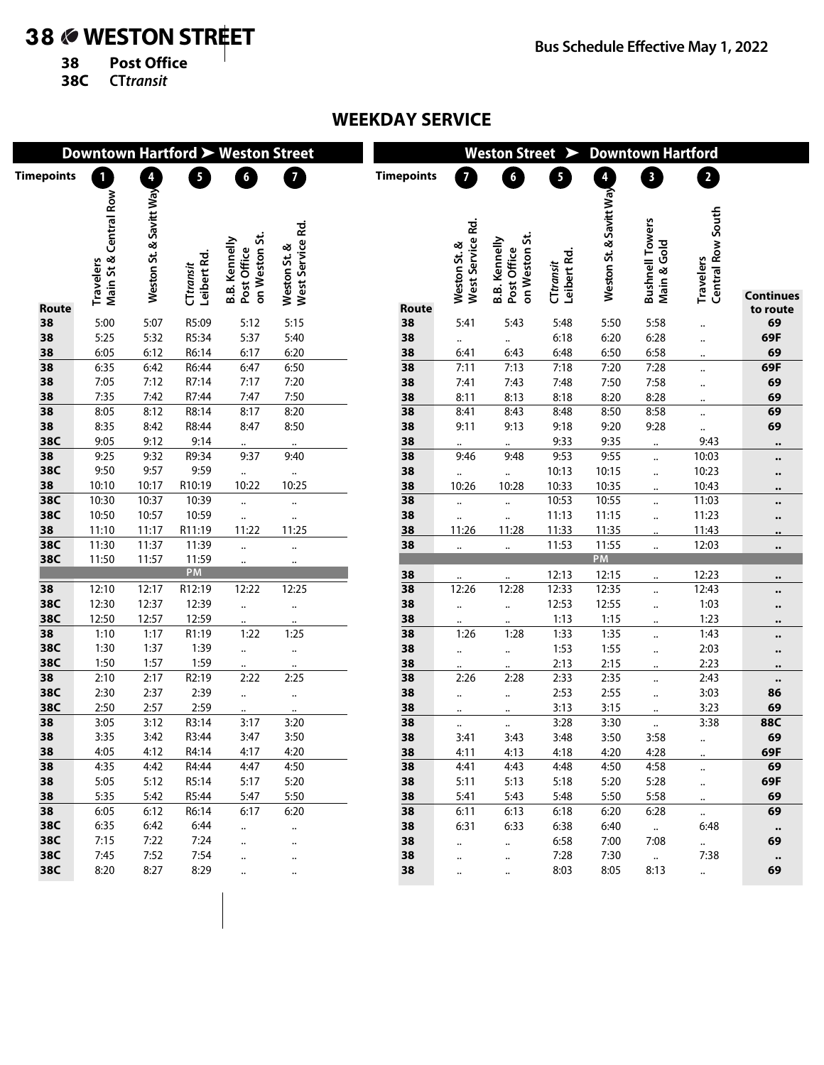## 38 **WESTON STREET**

**38 Post Office**

**38C CTtransit**

## **WEEKDAY SERVICE**

| 4<br>$\overline{4}$<br>$\overline{\phantom{a}}$<br>$\overline{\mathbf{3}}$<br>2<br>n<br>$6\phantom{a}$<br>$\overline{7}$<br><b>Timepoints</b><br>$\boldsymbol{6}$<br><b>Timepoints</b><br>$\overline{7}$<br>5<br>Weston St. & Savitt Way<br>Weston St. & Savitt Way<br>Main St & Central Row<br>Travelers<br>Central Row South<br><b>Bushnell Towers</b><br>West Service Rd.<br>West Service Rd.<br>on Weston St.<br>on Weston St.<br><b>B.B. Kennelly</b><br><b>B.B. Kennelly</b><br>Main & Gold<br>Weston St. &<br>Weston St. &<br>Post Office<br>Post Office<br>Leibert Rd.<br>Leibert Rd.<br>Travelers<br>CTtransit<br>CTtransit<br><b>Continues</b><br><b>Route</b><br>Route<br>to route<br>5:00<br>5:07<br>R5:09<br>5:48<br>5:50<br>5:58<br>69<br>38<br>5:12<br>5:15<br>38<br>5:41<br>5:43<br><br>69F<br>38<br>5:25<br>5:32<br>R5:34<br>5:37<br>6:18<br>6:20<br>6:28<br>5:40<br>38<br>$\ddot{\phantom{a}}$<br><br>$\ddotsc$<br>38<br>6:12<br>6:05<br>R6:14<br>6:17<br>6:20<br>38<br>6:50<br>6:58<br>69<br>6:43<br>6:48<br>6:41<br>$\ddotsc$<br>7:18<br>6:42<br>7:13<br>7:20<br>7:28<br>69F<br>38<br>6:35<br>R6:44<br>6:47<br>6:50<br>38<br>7:11<br><br>38<br>7:12<br>R7:14<br>38<br>7:50<br>7:58<br>69<br>7:05<br>7:17<br>7:20<br>7:41<br>7:43<br>7:48<br><br>38<br>7:42<br>7:35<br>R7:44<br>7:47<br>7:50<br>38<br>8:11<br>8:13<br>8:18<br>8:20<br>8:28<br>69<br>$\ddot{\phantom{a}}$<br>69<br>38<br>8:05<br>8:12<br>R8:14<br>8:17<br>8:43<br>8:48<br>8:50<br>8:58<br>8:20<br>38<br>8:41<br><br>38<br>8:42<br>9:18<br>9:20<br>69<br>8:35<br>R8:44<br>8:47<br>8:50<br>38<br>9:11<br>9:13<br>9:28<br><br>38C<br>9:12<br>9:05<br>9:14<br>9:33<br>38<br>9:35<br>9:43<br>$\ddotsc$<br>$\ldots$<br>$\ddot{\phantom{1}}$<br>$\bullet\bullet$<br>9:53<br>9:32<br>9:55<br>10:03<br>38<br>9:25<br>R9:34<br>9:37<br>38<br>9:48<br>9:40<br>9:46<br>$\ldots$<br>$\bullet\bullet$<br>38C<br>9:57<br>9:50<br>9:59<br>38<br>10:13<br>10:23<br>10:15<br>$\ddot{\phantom{1}}$<br>$\ddotsc$<br>$\ldots$<br>$\ddotsc$<br>$\ldots$<br>$\bullet\bullet$<br>38<br>R10:19<br>10:10<br>10:17<br>10:22<br>10:25<br>38<br>10:33<br>10:35<br>10:43<br>10:26<br>10:28<br>$\ldots$<br>$\bullet\bullet$<br>38C<br>10:53<br>11:03<br>10:37<br>10:39<br>38<br>10:55<br>10:30<br>$\ddot{\phantom{a}}$<br><br>$\ddotsc$<br>$\ddotsc$<br>$\ddotsc$<br>$\bullet\bullet$<br>38C<br>10:57<br>10:59<br>38<br>11:13<br>11:23<br>10:50<br>11:15<br>$\ddot{\phantom{a}}$<br><br>$\ddotsc$<br>$\ddotsc$<br>$\ddotsc$<br>$\bullet\bullet$<br>38<br>11:10<br>11:17<br>R11:19<br>11:22<br>11:25<br>38<br>11:33<br>11:26<br>11:28<br>11:35<br>11:43<br>$\bullet\bullet$<br>38C<br>11:30<br>11:37<br>11:39<br>38<br>11:53<br>11:55<br>12:03<br>$\ldots$<br>$\ddotsc$<br>$\ddotsc$<br>$\ddotsc$<br>$\ddotsc$<br>$\bullet\bullet$<br>PM<br>38C<br>11:50<br>11:57<br>11:59<br>$\ddot{\phantom{a}}$<br>$\ddotsc$<br>PM<br>38<br>12:13<br>12:23<br>12:15<br>$\ldots$<br>$\ddotsc$<br>$\bullet\bullet$<br>12:33<br>12:43<br>12:17<br>R12:19<br>12:22<br>38<br>12:26<br>12:28<br>12:35<br>38<br>12:10<br>12:25<br>$\ddot{\phantom{a}}$<br>$\bullet\bullet$<br>38C<br>12:37<br>12:39<br>12:53<br>1:03<br>12:30<br>38<br>12:55<br>$\ddot{\phantom{a}}$<br>$\ddot{\phantom{a}}$<br>$\ldots$<br>$\ddotsc$<br>$\ddotsc$<br>$\bullet\bullet$<br>38C<br>12:50<br>12:57<br>12:59<br>1:13<br>1:23<br>38<br>1:15<br>$\ddotsc$<br>$\ddotsc$<br>$\ddot{\phantom{a}}$<br>$\ddotsc$<br>$\ddotsc$<br>$\bullet\bullet$<br>1:17<br>1:33<br>1:43<br>38<br>1:10<br>R1:19<br>1:22<br>1:25<br>38<br>1:26<br>1:28<br>1:35<br>$\ldots$<br>$\bullet\bullet$<br>38C<br>1:37<br>38<br>1:53<br>1:55<br>2:03<br>1:30<br>1:39<br><br>$\ddotsc$<br>$\ddotsc$<br>$\ddotsc$<br>$\ddotsc$<br>$\bullet\bullet$<br>38C<br>1:50<br>1:57<br>1:59<br>2:13<br>2:15<br>2:23<br>38<br>$\ddotsc$<br>$\ddotsc$<br>$\ddotsc$<br>$\bullet\bullet$<br>2:33<br>2:43<br>38<br>2:10<br>2:17<br>R2:19<br>2:28<br>2:35<br>2:22<br>2:25<br>38<br>2:26<br>$\ddot{\phantom{a}}$<br>$\bullet\bullet$<br>38C<br>2:37<br>2:39<br>2:53<br>3:03<br>2:30<br>38<br>2:55<br>86<br>$\ldots$<br>$\ddotsc$<br>$\ldots$<br>$\ddotsc$<br>$\ddotsc$<br>38C<br>2:50<br>2:57<br>2:59<br>3:13<br>3:23<br>69<br>38<br>3:15<br>$\ddotsc$<br>$\ldots$<br>$\ldots$<br>$\ddot{\phantom{a}}$<br><br>38<br>3:12<br>R3:14<br>3:28<br>3:38<br>88C<br>3:05<br>3:17<br>38<br>3:30<br>3:20<br>$\ldots$<br>$\ldots$<br>$\ddotsc$<br>69<br>38<br>3:35<br>3:42<br>R3:44<br>3:47<br>3:50<br>38<br>3:48<br>3:50<br>3:58<br>3:41<br>3:43<br>$\ddotsc$<br>4:05<br>4:12<br>R4:14<br>4:17<br>4:20<br>38<br>4:28<br>69F<br>38<br>4:11<br>4:13<br>4:18<br>4:20<br>$\ddot{\phantom{a}}$<br>69<br>38<br>4:35<br>4:42<br>R4:44<br>4:47<br>4:50<br>38<br>4:43<br>4:48<br>4:50<br>4:58<br>4:41<br><br>69F<br>38<br>5:05<br>5:12<br>R5:14<br>5:17<br>5:20<br>38<br>5:11<br>5:13<br>5:18<br>5:20<br>5:28<br><br>38<br>5:35<br>5:42<br>R5:44<br>5:50<br>5:47<br>38<br>5:48<br>5:50<br>5:58<br>69<br>5:41<br>5:43<br>$\ddotsc$<br>38<br>6:05<br>6:12<br>R6:14<br>6:17<br>6:20<br>38<br>6:13<br>6:18<br>6:11<br>6:20<br>6:28<br>69<br>$\ddot{\phantom{0}}$<br>38C<br>6:35<br>6:42<br>6:44<br>38<br>6:33<br>6:38<br>6:40<br>6:48<br>6:31<br>$\ddot{\phantom{0}}$<br>$\ddot{\phantom{a}}$<br>$\ddotsc$<br>$\bullet\bullet$<br>38C<br>7:15<br>7:22<br>7:24<br>38<br>6:58<br>7:00<br>7:08<br>69<br>$\ddot{\phantom{a}}$<br>$\ddotsc$<br>$\ddot{\phantom{a}}$<br>$\ddotsc$<br><br>38C<br>7:45<br>7:52<br>7:54<br>7:28<br>38<br>7:30<br>7:38<br>$\ddotsc$<br>$\ddotsc$<br>$\ddot{\phantom{a}}$<br> | Downtown Hartford > Weston Street |      |      |      |  |  |  | Weston Street ><br><b>Downtown Hartford</b> |  |           |      |      |      |           |    |
|------------------------------------------------------------------------------------------------------------------------------------------------------------------------------------------------------------------------------------------------------------------------------------------------------------------------------------------------------------------------------------------------------------------------------------------------------------------------------------------------------------------------------------------------------------------------------------------------------------------------------------------------------------------------------------------------------------------------------------------------------------------------------------------------------------------------------------------------------------------------------------------------------------------------------------------------------------------------------------------------------------------------------------------------------------------------------------------------------------------------------------------------------------------------------------------------------------------------------------------------------------------------------------------------------------------------------------------------------------------------------------------------------------------------------------------------------------------------------------------------------------------------------------------------------------------------------------------------------------------------------------------------------------------------------------------------------------------------------------------------------------------------------------------------------------------------------------------------------------------------------------------------------------------------------------------------------------------------------------------------------------------------------------------------------------------------------------------------------------------------------------------------------------------------------------------------------------------------------------------------------------------------------------------------------------------------------------------------------------------------------------------------------------------------------------------------------------------------------------------------------------------------------------------------------------------------------------------------------------------------------------------------------------------------------------------------------------------------------------------------------------------------------------------------------------------------------------------------------------------------------------------------------------------------------------------------------------------------------------------------------------------------------------------------------------------------------------------------------------------------------------------------------------------------------------------------------------------------------------------------------------------------------------------------------------------------------------------------------------------------------------------------------------------------------------------------------------------------------------------------------------------------------------------------------------------------------------------------------------------------------------------------------------------------------------------------------------------------------------------------------------------------------------------------------------------------------------------------------------------------------------------------------------------------------------------------------------------------------------------------------------------------------------------------------------------------------------------------------------------------------------------------------------------------------------------------------------------------------------------------------------------------------------------------------------------------------------------------------------------------------------------------------------------------------------------------------------------------------------------------------------------------------------------------------------------------------------------------------------------------------------------------------------------------------------------------------------------------------------------------------------------------------------------------------------------------------------------------------------------------------------------------------------------------------------------------------------------------------------------------------------------------------------------------------------------------------------------------------------------------------------------------------------------------------------------------------------------------------------------------------------------------------------------------------------------------------------------------------------------------------------------------------------------------------------------------------------------------------------------------------------------------------------|-----------------------------------|------|------|------|--|--|--|---------------------------------------------|--|-----------|------|------|------|-----------|----|
|                                                                                                                                                                                                                                                                                                                                                                                                                                                                                                                                                                                                                                                                                                                                                                                                                                                                                                                                                                                                                                                                                                                                                                                                                                                                                                                                                                                                                                                                                                                                                                                                                                                                                                                                                                                                                                                                                                                                                                                                                                                                                                                                                                                                                                                                                                                                                                                                                                                                                                                                                                                                                                                                                                                                                                                                                                                                                                                                                                                                                                                                                                                                                                                                                                                                                                                                                                                                                                                                                                                                                                                                                                                                                                                                                                                                                                                                                                                                                                                                                                                                                                                                                                                                                                                                                                                                                                                                                                                                                                                                                                                                                                                                                                                                                                                                                                                                                                                                                                                                                                                                                                                                                                                                                                                                                                                                                                                                                                                                                                                                    |                                   |      |      |      |  |  |  |                                             |  |           |      |      |      |           |    |
|                                                                                                                                                                                                                                                                                                                                                                                                                                                                                                                                                                                                                                                                                                                                                                                                                                                                                                                                                                                                                                                                                                                                                                                                                                                                                                                                                                                                                                                                                                                                                                                                                                                                                                                                                                                                                                                                                                                                                                                                                                                                                                                                                                                                                                                                                                                                                                                                                                                                                                                                                                                                                                                                                                                                                                                                                                                                                                                                                                                                                                                                                                                                                                                                                                                                                                                                                                                                                                                                                                                                                                                                                                                                                                                                                                                                                                                                                                                                                                                                                                                                                                                                                                                                                                                                                                                                                                                                                                                                                                                                                                                                                                                                                                                                                                                                                                                                                                                                                                                                                                                                                                                                                                                                                                                                                                                                                                                                                                                                                                                                    |                                   |      |      |      |  |  |  |                                             |  |           |      |      |      |           |    |
|                                                                                                                                                                                                                                                                                                                                                                                                                                                                                                                                                                                                                                                                                                                                                                                                                                                                                                                                                                                                                                                                                                                                                                                                                                                                                                                                                                                                                                                                                                                                                                                                                                                                                                                                                                                                                                                                                                                                                                                                                                                                                                                                                                                                                                                                                                                                                                                                                                                                                                                                                                                                                                                                                                                                                                                                                                                                                                                                                                                                                                                                                                                                                                                                                                                                                                                                                                                                                                                                                                                                                                                                                                                                                                                                                                                                                                                                                                                                                                                                                                                                                                                                                                                                                                                                                                                                                                                                                                                                                                                                                                                                                                                                                                                                                                                                                                                                                                                                                                                                                                                                                                                                                                                                                                                                                                                                                                                                                                                                                                                                    |                                   |      |      |      |  |  |  |                                             |  |           |      |      |      |           |    |
|                                                                                                                                                                                                                                                                                                                                                                                                                                                                                                                                                                                                                                                                                                                                                                                                                                                                                                                                                                                                                                                                                                                                                                                                                                                                                                                                                                                                                                                                                                                                                                                                                                                                                                                                                                                                                                                                                                                                                                                                                                                                                                                                                                                                                                                                                                                                                                                                                                                                                                                                                                                                                                                                                                                                                                                                                                                                                                                                                                                                                                                                                                                                                                                                                                                                                                                                                                                                                                                                                                                                                                                                                                                                                                                                                                                                                                                                                                                                                                                                                                                                                                                                                                                                                                                                                                                                                                                                                                                                                                                                                                                                                                                                                                                                                                                                                                                                                                                                                                                                                                                                                                                                                                                                                                                                                                                                                                                                                                                                                                                                    |                                   |      |      |      |  |  |  |                                             |  |           |      |      |      |           |    |
|                                                                                                                                                                                                                                                                                                                                                                                                                                                                                                                                                                                                                                                                                                                                                                                                                                                                                                                                                                                                                                                                                                                                                                                                                                                                                                                                                                                                                                                                                                                                                                                                                                                                                                                                                                                                                                                                                                                                                                                                                                                                                                                                                                                                                                                                                                                                                                                                                                                                                                                                                                                                                                                                                                                                                                                                                                                                                                                                                                                                                                                                                                                                                                                                                                                                                                                                                                                                                                                                                                                                                                                                                                                                                                                                                                                                                                                                                                                                                                                                                                                                                                                                                                                                                                                                                                                                                                                                                                                                                                                                                                                                                                                                                                                                                                                                                                                                                                                                                                                                                                                                                                                                                                                                                                                                                                                                                                                                                                                                                                                                    |                                   |      |      |      |  |  |  |                                             |  |           |      |      |      |           |    |
|                                                                                                                                                                                                                                                                                                                                                                                                                                                                                                                                                                                                                                                                                                                                                                                                                                                                                                                                                                                                                                                                                                                                                                                                                                                                                                                                                                                                                                                                                                                                                                                                                                                                                                                                                                                                                                                                                                                                                                                                                                                                                                                                                                                                                                                                                                                                                                                                                                                                                                                                                                                                                                                                                                                                                                                                                                                                                                                                                                                                                                                                                                                                                                                                                                                                                                                                                                                                                                                                                                                                                                                                                                                                                                                                                                                                                                                                                                                                                                                                                                                                                                                                                                                                                                                                                                                                                                                                                                                                                                                                                                                                                                                                                                                                                                                                                                                                                                                                                                                                                                                                                                                                                                                                                                                                                                                                                                                                                                                                                                                                    |                                   |      |      |      |  |  |  |                                             |  |           |      |      |      |           |    |
|                                                                                                                                                                                                                                                                                                                                                                                                                                                                                                                                                                                                                                                                                                                                                                                                                                                                                                                                                                                                                                                                                                                                                                                                                                                                                                                                                                                                                                                                                                                                                                                                                                                                                                                                                                                                                                                                                                                                                                                                                                                                                                                                                                                                                                                                                                                                                                                                                                                                                                                                                                                                                                                                                                                                                                                                                                                                                                                                                                                                                                                                                                                                                                                                                                                                                                                                                                                                                                                                                                                                                                                                                                                                                                                                                                                                                                                                                                                                                                                                                                                                                                                                                                                                                                                                                                                                                                                                                                                                                                                                                                                                                                                                                                                                                                                                                                                                                                                                                                                                                                                                                                                                                                                                                                                                                                                                                                                                                                                                                                                                    |                                   |      |      |      |  |  |  |                                             |  |           |      |      |      |           |    |
|                                                                                                                                                                                                                                                                                                                                                                                                                                                                                                                                                                                                                                                                                                                                                                                                                                                                                                                                                                                                                                                                                                                                                                                                                                                                                                                                                                                                                                                                                                                                                                                                                                                                                                                                                                                                                                                                                                                                                                                                                                                                                                                                                                                                                                                                                                                                                                                                                                                                                                                                                                                                                                                                                                                                                                                                                                                                                                                                                                                                                                                                                                                                                                                                                                                                                                                                                                                                                                                                                                                                                                                                                                                                                                                                                                                                                                                                                                                                                                                                                                                                                                                                                                                                                                                                                                                                                                                                                                                                                                                                                                                                                                                                                                                                                                                                                                                                                                                                                                                                                                                                                                                                                                                                                                                                                                                                                                                                                                                                                                                                    |                                   |      |      |      |  |  |  |                                             |  |           |      |      |      |           |    |
|                                                                                                                                                                                                                                                                                                                                                                                                                                                                                                                                                                                                                                                                                                                                                                                                                                                                                                                                                                                                                                                                                                                                                                                                                                                                                                                                                                                                                                                                                                                                                                                                                                                                                                                                                                                                                                                                                                                                                                                                                                                                                                                                                                                                                                                                                                                                                                                                                                                                                                                                                                                                                                                                                                                                                                                                                                                                                                                                                                                                                                                                                                                                                                                                                                                                                                                                                                                                                                                                                                                                                                                                                                                                                                                                                                                                                                                                                                                                                                                                                                                                                                                                                                                                                                                                                                                                                                                                                                                                                                                                                                                                                                                                                                                                                                                                                                                                                                                                                                                                                                                                                                                                                                                                                                                                                                                                                                                                                                                                                                                                    |                                   |      |      |      |  |  |  |                                             |  |           |      |      |      |           |    |
|                                                                                                                                                                                                                                                                                                                                                                                                                                                                                                                                                                                                                                                                                                                                                                                                                                                                                                                                                                                                                                                                                                                                                                                                                                                                                                                                                                                                                                                                                                                                                                                                                                                                                                                                                                                                                                                                                                                                                                                                                                                                                                                                                                                                                                                                                                                                                                                                                                                                                                                                                                                                                                                                                                                                                                                                                                                                                                                                                                                                                                                                                                                                                                                                                                                                                                                                                                                                                                                                                                                                                                                                                                                                                                                                                                                                                                                                                                                                                                                                                                                                                                                                                                                                                                                                                                                                                                                                                                                                                                                                                                                                                                                                                                                                                                                                                                                                                                                                                                                                                                                                                                                                                                                                                                                                                                                                                                                                                                                                                                                                    |                                   |      |      |      |  |  |  |                                             |  |           |      |      |      |           |    |
|                                                                                                                                                                                                                                                                                                                                                                                                                                                                                                                                                                                                                                                                                                                                                                                                                                                                                                                                                                                                                                                                                                                                                                                                                                                                                                                                                                                                                                                                                                                                                                                                                                                                                                                                                                                                                                                                                                                                                                                                                                                                                                                                                                                                                                                                                                                                                                                                                                                                                                                                                                                                                                                                                                                                                                                                                                                                                                                                                                                                                                                                                                                                                                                                                                                                                                                                                                                                                                                                                                                                                                                                                                                                                                                                                                                                                                                                                                                                                                                                                                                                                                                                                                                                                                                                                                                                                                                                                                                                                                                                                                                                                                                                                                                                                                                                                                                                                                                                                                                                                                                                                                                                                                                                                                                                                                                                                                                                                                                                                                                                    |                                   |      |      |      |  |  |  |                                             |  |           |      |      |      |           |    |
|                                                                                                                                                                                                                                                                                                                                                                                                                                                                                                                                                                                                                                                                                                                                                                                                                                                                                                                                                                                                                                                                                                                                                                                                                                                                                                                                                                                                                                                                                                                                                                                                                                                                                                                                                                                                                                                                                                                                                                                                                                                                                                                                                                                                                                                                                                                                                                                                                                                                                                                                                                                                                                                                                                                                                                                                                                                                                                                                                                                                                                                                                                                                                                                                                                                                                                                                                                                                                                                                                                                                                                                                                                                                                                                                                                                                                                                                                                                                                                                                                                                                                                                                                                                                                                                                                                                                                                                                                                                                                                                                                                                                                                                                                                                                                                                                                                                                                                                                                                                                                                                                                                                                                                                                                                                                                                                                                                                                                                                                                                                                    |                                   |      |      |      |  |  |  |                                             |  |           |      |      |      |           |    |
|                                                                                                                                                                                                                                                                                                                                                                                                                                                                                                                                                                                                                                                                                                                                                                                                                                                                                                                                                                                                                                                                                                                                                                                                                                                                                                                                                                                                                                                                                                                                                                                                                                                                                                                                                                                                                                                                                                                                                                                                                                                                                                                                                                                                                                                                                                                                                                                                                                                                                                                                                                                                                                                                                                                                                                                                                                                                                                                                                                                                                                                                                                                                                                                                                                                                                                                                                                                                                                                                                                                                                                                                                                                                                                                                                                                                                                                                                                                                                                                                                                                                                                                                                                                                                                                                                                                                                                                                                                                                                                                                                                                                                                                                                                                                                                                                                                                                                                                                                                                                                                                                                                                                                                                                                                                                                                                                                                                                                                                                                                                                    |                                   |      |      |      |  |  |  |                                             |  |           |      |      |      |           |    |
|                                                                                                                                                                                                                                                                                                                                                                                                                                                                                                                                                                                                                                                                                                                                                                                                                                                                                                                                                                                                                                                                                                                                                                                                                                                                                                                                                                                                                                                                                                                                                                                                                                                                                                                                                                                                                                                                                                                                                                                                                                                                                                                                                                                                                                                                                                                                                                                                                                                                                                                                                                                                                                                                                                                                                                                                                                                                                                                                                                                                                                                                                                                                                                                                                                                                                                                                                                                                                                                                                                                                                                                                                                                                                                                                                                                                                                                                                                                                                                                                                                                                                                                                                                                                                                                                                                                                                                                                                                                                                                                                                                                                                                                                                                                                                                                                                                                                                                                                                                                                                                                                                                                                                                                                                                                                                                                                                                                                                                                                                                                                    |                                   |      |      |      |  |  |  |                                             |  |           |      |      |      |           |    |
|                                                                                                                                                                                                                                                                                                                                                                                                                                                                                                                                                                                                                                                                                                                                                                                                                                                                                                                                                                                                                                                                                                                                                                                                                                                                                                                                                                                                                                                                                                                                                                                                                                                                                                                                                                                                                                                                                                                                                                                                                                                                                                                                                                                                                                                                                                                                                                                                                                                                                                                                                                                                                                                                                                                                                                                                                                                                                                                                                                                                                                                                                                                                                                                                                                                                                                                                                                                                                                                                                                                                                                                                                                                                                                                                                                                                                                                                                                                                                                                                                                                                                                                                                                                                                                                                                                                                                                                                                                                                                                                                                                                                                                                                                                                                                                                                                                                                                                                                                                                                                                                                                                                                                                                                                                                                                                                                                                                                                                                                                                                                    |                                   |      |      |      |  |  |  |                                             |  |           |      |      |      |           |    |
|                                                                                                                                                                                                                                                                                                                                                                                                                                                                                                                                                                                                                                                                                                                                                                                                                                                                                                                                                                                                                                                                                                                                                                                                                                                                                                                                                                                                                                                                                                                                                                                                                                                                                                                                                                                                                                                                                                                                                                                                                                                                                                                                                                                                                                                                                                                                                                                                                                                                                                                                                                                                                                                                                                                                                                                                                                                                                                                                                                                                                                                                                                                                                                                                                                                                                                                                                                                                                                                                                                                                                                                                                                                                                                                                                                                                                                                                                                                                                                                                                                                                                                                                                                                                                                                                                                                                                                                                                                                                                                                                                                                                                                                                                                                                                                                                                                                                                                                                                                                                                                                                                                                                                                                                                                                                                                                                                                                                                                                                                                                                    |                                   |      |      |      |  |  |  |                                             |  |           |      |      |      |           |    |
|                                                                                                                                                                                                                                                                                                                                                                                                                                                                                                                                                                                                                                                                                                                                                                                                                                                                                                                                                                                                                                                                                                                                                                                                                                                                                                                                                                                                                                                                                                                                                                                                                                                                                                                                                                                                                                                                                                                                                                                                                                                                                                                                                                                                                                                                                                                                                                                                                                                                                                                                                                                                                                                                                                                                                                                                                                                                                                                                                                                                                                                                                                                                                                                                                                                                                                                                                                                                                                                                                                                                                                                                                                                                                                                                                                                                                                                                                                                                                                                                                                                                                                                                                                                                                                                                                                                                                                                                                                                                                                                                                                                                                                                                                                                                                                                                                                                                                                                                                                                                                                                                                                                                                                                                                                                                                                                                                                                                                                                                                                                                    |                                   |      |      |      |  |  |  |                                             |  |           |      |      |      |           |    |
|                                                                                                                                                                                                                                                                                                                                                                                                                                                                                                                                                                                                                                                                                                                                                                                                                                                                                                                                                                                                                                                                                                                                                                                                                                                                                                                                                                                                                                                                                                                                                                                                                                                                                                                                                                                                                                                                                                                                                                                                                                                                                                                                                                                                                                                                                                                                                                                                                                                                                                                                                                                                                                                                                                                                                                                                                                                                                                                                                                                                                                                                                                                                                                                                                                                                                                                                                                                                                                                                                                                                                                                                                                                                                                                                                                                                                                                                                                                                                                                                                                                                                                                                                                                                                                                                                                                                                                                                                                                                                                                                                                                                                                                                                                                                                                                                                                                                                                                                                                                                                                                                                                                                                                                                                                                                                                                                                                                                                                                                                                                                    |                                   |      |      |      |  |  |  |                                             |  |           |      |      |      |           |    |
|                                                                                                                                                                                                                                                                                                                                                                                                                                                                                                                                                                                                                                                                                                                                                                                                                                                                                                                                                                                                                                                                                                                                                                                                                                                                                                                                                                                                                                                                                                                                                                                                                                                                                                                                                                                                                                                                                                                                                                                                                                                                                                                                                                                                                                                                                                                                                                                                                                                                                                                                                                                                                                                                                                                                                                                                                                                                                                                                                                                                                                                                                                                                                                                                                                                                                                                                                                                                                                                                                                                                                                                                                                                                                                                                                                                                                                                                                                                                                                                                                                                                                                                                                                                                                                                                                                                                                                                                                                                                                                                                                                                                                                                                                                                                                                                                                                                                                                                                                                                                                                                                                                                                                                                                                                                                                                                                                                                                                                                                                                                                    |                                   |      |      |      |  |  |  |                                             |  |           |      |      |      |           |    |
|                                                                                                                                                                                                                                                                                                                                                                                                                                                                                                                                                                                                                                                                                                                                                                                                                                                                                                                                                                                                                                                                                                                                                                                                                                                                                                                                                                                                                                                                                                                                                                                                                                                                                                                                                                                                                                                                                                                                                                                                                                                                                                                                                                                                                                                                                                                                                                                                                                                                                                                                                                                                                                                                                                                                                                                                                                                                                                                                                                                                                                                                                                                                                                                                                                                                                                                                                                                                                                                                                                                                                                                                                                                                                                                                                                                                                                                                                                                                                                                                                                                                                                                                                                                                                                                                                                                                                                                                                                                                                                                                                                                                                                                                                                                                                                                                                                                                                                                                                                                                                                                                                                                                                                                                                                                                                                                                                                                                                                                                                                                                    |                                   |      |      |      |  |  |  |                                             |  |           |      |      |      |           |    |
|                                                                                                                                                                                                                                                                                                                                                                                                                                                                                                                                                                                                                                                                                                                                                                                                                                                                                                                                                                                                                                                                                                                                                                                                                                                                                                                                                                                                                                                                                                                                                                                                                                                                                                                                                                                                                                                                                                                                                                                                                                                                                                                                                                                                                                                                                                                                                                                                                                                                                                                                                                                                                                                                                                                                                                                                                                                                                                                                                                                                                                                                                                                                                                                                                                                                                                                                                                                                                                                                                                                                                                                                                                                                                                                                                                                                                                                                                                                                                                                                                                                                                                                                                                                                                                                                                                                                                                                                                                                                                                                                                                                                                                                                                                                                                                                                                                                                                                                                                                                                                                                                                                                                                                                                                                                                                                                                                                                                                                                                                                                                    |                                   |      |      |      |  |  |  |                                             |  |           |      |      |      |           |    |
|                                                                                                                                                                                                                                                                                                                                                                                                                                                                                                                                                                                                                                                                                                                                                                                                                                                                                                                                                                                                                                                                                                                                                                                                                                                                                                                                                                                                                                                                                                                                                                                                                                                                                                                                                                                                                                                                                                                                                                                                                                                                                                                                                                                                                                                                                                                                                                                                                                                                                                                                                                                                                                                                                                                                                                                                                                                                                                                                                                                                                                                                                                                                                                                                                                                                                                                                                                                                                                                                                                                                                                                                                                                                                                                                                                                                                                                                                                                                                                                                                                                                                                                                                                                                                                                                                                                                                                                                                                                                                                                                                                                                                                                                                                                                                                                                                                                                                                                                                                                                                                                                                                                                                                                                                                                                                                                                                                                                                                                                                                                                    |                                   |      |      |      |  |  |  |                                             |  |           |      |      |      |           |    |
|                                                                                                                                                                                                                                                                                                                                                                                                                                                                                                                                                                                                                                                                                                                                                                                                                                                                                                                                                                                                                                                                                                                                                                                                                                                                                                                                                                                                                                                                                                                                                                                                                                                                                                                                                                                                                                                                                                                                                                                                                                                                                                                                                                                                                                                                                                                                                                                                                                                                                                                                                                                                                                                                                                                                                                                                                                                                                                                                                                                                                                                                                                                                                                                                                                                                                                                                                                                                                                                                                                                                                                                                                                                                                                                                                                                                                                                                                                                                                                                                                                                                                                                                                                                                                                                                                                                                                                                                                                                                                                                                                                                                                                                                                                                                                                                                                                                                                                                                                                                                                                                                                                                                                                                                                                                                                                                                                                                                                                                                                                                                    |                                   |      |      |      |  |  |  |                                             |  |           |      |      |      |           |    |
|                                                                                                                                                                                                                                                                                                                                                                                                                                                                                                                                                                                                                                                                                                                                                                                                                                                                                                                                                                                                                                                                                                                                                                                                                                                                                                                                                                                                                                                                                                                                                                                                                                                                                                                                                                                                                                                                                                                                                                                                                                                                                                                                                                                                                                                                                                                                                                                                                                                                                                                                                                                                                                                                                                                                                                                                                                                                                                                                                                                                                                                                                                                                                                                                                                                                                                                                                                                                                                                                                                                                                                                                                                                                                                                                                                                                                                                                                                                                                                                                                                                                                                                                                                                                                                                                                                                                                                                                                                                                                                                                                                                                                                                                                                                                                                                                                                                                                                                                                                                                                                                                                                                                                                                                                                                                                                                                                                                                                                                                                                                                    |                                   |      |      |      |  |  |  |                                             |  |           |      |      |      |           |    |
|                                                                                                                                                                                                                                                                                                                                                                                                                                                                                                                                                                                                                                                                                                                                                                                                                                                                                                                                                                                                                                                                                                                                                                                                                                                                                                                                                                                                                                                                                                                                                                                                                                                                                                                                                                                                                                                                                                                                                                                                                                                                                                                                                                                                                                                                                                                                                                                                                                                                                                                                                                                                                                                                                                                                                                                                                                                                                                                                                                                                                                                                                                                                                                                                                                                                                                                                                                                                                                                                                                                                                                                                                                                                                                                                                                                                                                                                                                                                                                                                                                                                                                                                                                                                                                                                                                                                                                                                                                                                                                                                                                                                                                                                                                                                                                                                                                                                                                                                                                                                                                                                                                                                                                                                                                                                                                                                                                                                                                                                                                                                    |                                   |      |      |      |  |  |  |                                             |  |           |      |      |      |           |    |
|                                                                                                                                                                                                                                                                                                                                                                                                                                                                                                                                                                                                                                                                                                                                                                                                                                                                                                                                                                                                                                                                                                                                                                                                                                                                                                                                                                                                                                                                                                                                                                                                                                                                                                                                                                                                                                                                                                                                                                                                                                                                                                                                                                                                                                                                                                                                                                                                                                                                                                                                                                                                                                                                                                                                                                                                                                                                                                                                                                                                                                                                                                                                                                                                                                                                                                                                                                                                                                                                                                                                                                                                                                                                                                                                                                                                                                                                                                                                                                                                                                                                                                                                                                                                                                                                                                                                                                                                                                                                                                                                                                                                                                                                                                                                                                                                                                                                                                                                                                                                                                                                                                                                                                                                                                                                                                                                                                                                                                                                                                                                    |                                   |      |      |      |  |  |  |                                             |  |           |      |      |      |           |    |
|                                                                                                                                                                                                                                                                                                                                                                                                                                                                                                                                                                                                                                                                                                                                                                                                                                                                                                                                                                                                                                                                                                                                                                                                                                                                                                                                                                                                                                                                                                                                                                                                                                                                                                                                                                                                                                                                                                                                                                                                                                                                                                                                                                                                                                                                                                                                                                                                                                                                                                                                                                                                                                                                                                                                                                                                                                                                                                                                                                                                                                                                                                                                                                                                                                                                                                                                                                                                                                                                                                                                                                                                                                                                                                                                                                                                                                                                                                                                                                                                                                                                                                                                                                                                                                                                                                                                                                                                                                                                                                                                                                                                                                                                                                                                                                                                                                                                                                                                                                                                                                                                                                                                                                                                                                                                                                                                                                                                                                                                                                                                    |                                   |      |      |      |  |  |  |                                             |  |           |      |      |      |           |    |
|                                                                                                                                                                                                                                                                                                                                                                                                                                                                                                                                                                                                                                                                                                                                                                                                                                                                                                                                                                                                                                                                                                                                                                                                                                                                                                                                                                                                                                                                                                                                                                                                                                                                                                                                                                                                                                                                                                                                                                                                                                                                                                                                                                                                                                                                                                                                                                                                                                                                                                                                                                                                                                                                                                                                                                                                                                                                                                                                                                                                                                                                                                                                                                                                                                                                                                                                                                                                                                                                                                                                                                                                                                                                                                                                                                                                                                                                                                                                                                                                                                                                                                                                                                                                                                                                                                                                                                                                                                                                                                                                                                                                                                                                                                                                                                                                                                                                                                                                                                                                                                                                                                                                                                                                                                                                                                                                                                                                                                                                                                                                    |                                   |      |      |      |  |  |  |                                             |  |           |      |      |      |           |    |
|                                                                                                                                                                                                                                                                                                                                                                                                                                                                                                                                                                                                                                                                                                                                                                                                                                                                                                                                                                                                                                                                                                                                                                                                                                                                                                                                                                                                                                                                                                                                                                                                                                                                                                                                                                                                                                                                                                                                                                                                                                                                                                                                                                                                                                                                                                                                                                                                                                                                                                                                                                                                                                                                                                                                                                                                                                                                                                                                                                                                                                                                                                                                                                                                                                                                                                                                                                                                                                                                                                                                                                                                                                                                                                                                                                                                                                                                                                                                                                                                                                                                                                                                                                                                                                                                                                                                                                                                                                                                                                                                                                                                                                                                                                                                                                                                                                                                                                                                                                                                                                                                                                                                                                                                                                                                                                                                                                                                                                                                                                                                    |                                   |      |      |      |  |  |  |                                             |  |           |      |      |      |           |    |
|                                                                                                                                                                                                                                                                                                                                                                                                                                                                                                                                                                                                                                                                                                                                                                                                                                                                                                                                                                                                                                                                                                                                                                                                                                                                                                                                                                                                                                                                                                                                                                                                                                                                                                                                                                                                                                                                                                                                                                                                                                                                                                                                                                                                                                                                                                                                                                                                                                                                                                                                                                                                                                                                                                                                                                                                                                                                                                                                                                                                                                                                                                                                                                                                                                                                                                                                                                                                                                                                                                                                                                                                                                                                                                                                                                                                                                                                                                                                                                                                                                                                                                                                                                                                                                                                                                                                                                                                                                                                                                                                                                                                                                                                                                                                                                                                                                                                                                                                                                                                                                                                                                                                                                                                                                                                                                                                                                                                                                                                                                                                    |                                   |      |      |      |  |  |  |                                             |  |           |      |      |      |           |    |
|                                                                                                                                                                                                                                                                                                                                                                                                                                                                                                                                                                                                                                                                                                                                                                                                                                                                                                                                                                                                                                                                                                                                                                                                                                                                                                                                                                                                                                                                                                                                                                                                                                                                                                                                                                                                                                                                                                                                                                                                                                                                                                                                                                                                                                                                                                                                                                                                                                                                                                                                                                                                                                                                                                                                                                                                                                                                                                                                                                                                                                                                                                                                                                                                                                                                                                                                                                                                                                                                                                                                                                                                                                                                                                                                                                                                                                                                                                                                                                                                                                                                                                                                                                                                                                                                                                                                                                                                                                                                                                                                                                                                                                                                                                                                                                                                                                                                                                                                                                                                                                                                                                                                                                                                                                                                                                                                                                                                                                                                                                                                    |                                   |      |      |      |  |  |  |                                             |  |           |      |      |      |           |    |
|                                                                                                                                                                                                                                                                                                                                                                                                                                                                                                                                                                                                                                                                                                                                                                                                                                                                                                                                                                                                                                                                                                                                                                                                                                                                                                                                                                                                                                                                                                                                                                                                                                                                                                                                                                                                                                                                                                                                                                                                                                                                                                                                                                                                                                                                                                                                                                                                                                                                                                                                                                                                                                                                                                                                                                                                                                                                                                                                                                                                                                                                                                                                                                                                                                                                                                                                                                                                                                                                                                                                                                                                                                                                                                                                                                                                                                                                                                                                                                                                                                                                                                                                                                                                                                                                                                                                                                                                                                                                                                                                                                                                                                                                                                                                                                                                                                                                                                                                                                                                                                                                                                                                                                                                                                                                                                                                                                                                                                                                                                                                    |                                   |      |      |      |  |  |  |                                             |  |           |      |      |      |           |    |
|                                                                                                                                                                                                                                                                                                                                                                                                                                                                                                                                                                                                                                                                                                                                                                                                                                                                                                                                                                                                                                                                                                                                                                                                                                                                                                                                                                                                                                                                                                                                                                                                                                                                                                                                                                                                                                                                                                                                                                                                                                                                                                                                                                                                                                                                                                                                                                                                                                                                                                                                                                                                                                                                                                                                                                                                                                                                                                                                                                                                                                                                                                                                                                                                                                                                                                                                                                                                                                                                                                                                                                                                                                                                                                                                                                                                                                                                                                                                                                                                                                                                                                                                                                                                                                                                                                                                                                                                                                                                                                                                                                                                                                                                                                                                                                                                                                                                                                                                                                                                                                                                                                                                                                                                                                                                                                                                                                                                                                                                                                                                    |                                   |      |      |      |  |  |  |                                             |  |           |      |      |      |           |    |
|                                                                                                                                                                                                                                                                                                                                                                                                                                                                                                                                                                                                                                                                                                                                                                                                                                                                                                                                                                                                                                                                                                                                                                                                                                                                                                                                                                                                                                                                                                                                                                                                                                                                                                                                                                                                                                                                                                                                                                                                                                                                                                                                                                                                                                                                                                                                                                                                                                                                                                                                                                                                                                                                                                                                                                                                                                                                                                                                                                                                                                                                                                                                                                                                                                                                                                                                                                                                                                                                                                                                                                                                                                                                                                                                                                                                                                                                                                                                                                                                                                                                                                                                                                                                                                                                                                                                                                                                                                                                                                                                                                                                                                                                                                                                                                                                                                                                                                                                                                                                                                                                                                                                                                                                                                                                                                                                                                                                                                                                                                                                    |                                   |      |      |      |  |  |  |                                             |  |           |      |      |      |           |    |
|                                                                                                                                                                                                                                                                                                                                                                                                                                                                                                                                                                                                                                                                                                                                                                                                                                                                                                                                                                                                                                                                                                                                                                                                                                                                                                                                                                                                                                                                                                                                                                                                                                                                                                                                                                                                                                                                                                                                                                                                                                                                                                                                                                                                                                                                                                                                                                                                                                                                                                                                                                                                                                                                                                                                                                                                                                                                                                                                                                                                                                                                                                                                                                                                                                                                                                                                                                                                                                                                                                                                                                                                                                                                                                                                                                                                                                                                                                                                                                                                                                                                                                                                                                                                                                                                                                                                                                                                                                                                                                                                                                                                                                                                                                                                                                                                                                                                                                                                                                                                                                                                                                                                                                                                                                                                                                                                                                                                                                                                                                                                    |                                   |      |      |      |  |  |  |                                             |  |           |      |      |      |           |    |
|                                                                                                                                                                                                                                                                                                                                                                                                                                                                                                                                                                                                                                                                                                                                                                                                                                                                                                                                                                                                                                                                                                                                                                                                                                                                                                                                                                                                                                                                                                                                                                                                                                                                                                                                                                                                                                                                                                                                                                                                                                                                                                                                                                                                                                                                                                                                                                                                                                                                                                                                                                                                                                                                                                                                                                                                                                                                                                                                                                                                                                                                                                                                                                                                                                                                                                                                                                                                                                                                                                                                                                                                                                                                                                                                                                                                                                                                                                                                                                                                                                                                                                                                                                                                                                                                                                                                                                                                                                                                                                                                                                                                                                                                                                                                                                                                                                                                                                                                                                                                                                                                                                                                                                                                                                                                                                                                                                                                                                                                                                                                    |                                   |      |      |      |  |  |  |                                             |  |           |      |      |      |           |    |
|                                                                                                                                                                                                                                                                                                                                                                                                                                                                                                                                                                                                                                                                                                                                                                                                                                                                                                                                                                                                                                                                                                                                                                                                                                                                                                                                                                                                                                                                                                                                                                                                                                                                                                                                                                                                                                                                                                                                                                                                                                                                                                                                                                                                                                                                                                                                                                                                                                                                                                                                                                                                                                                                                                                                                                                                                                                                                                                                                                                                                                                                                                                                                                                                                                                                                                                                                                                                                                                                                                                                                                                                                                                                                                                                                                                                                                                                                                                                                                                                                                                                                                                                                                                                                                                                                                                                                                                                                                                                                                                                                                                                                                                                                                                                                                                                                                                                                                                                                                                                                                                                                                                                                                                                                                                                                                                                                                                                                                                                                                                                    |                                   |      |      |      |  |  |  |                                             |  |           |      |      |      |           |    |
|                                                                                                                                                                                                                                                                                                                                                                                                                                                                                                                                                                                                                                                                                                                                                                                                                                                                                                                                                                                                                                                                                                                                                                                                                                                                                                                                                                                                                                                                                                                                                                                                                                                                                                                                                                                                                                                                                                                                                                                                                                                                                                                                                                                                                                                                                                                                                                                                                                                                                                                                                                                                                                                                                                                                                                                                                                                                                                                                                                                                                                                                                                                                                                                                                                                                                                                                                                                                                                                                                                                                                                                                                                                                                                                                                                                                                                                                                                                                                                                                                                                                                                                                                                                                                                                                                                                                                                                                                                                                                                                                                                                                                                                                                                                                                                                                                                                                                                                                                                                                                                                                                                                                                                                                                                                                                                                                                                                                                                                                                                                                    |                                   |      |      |      |  |  |  |                                             |  |           |      |      |      |           |    |
| $\ddotsc$<br>$\ddotsc$<br>$\ddotsc$                                                                                                                                                                                                                                                                                                                                                                                                                                                                                                                                                                                                                                                                                                                                                                                                                                                                                                                                                                                                                                                                                                                                                                                                                                                                                                                                                                                                                                                                                                                                                                                                                                                                                                                                                                                                                                                                                                                                                                                                                                                                                                                                                                                                                                                                                                                                                                                                                                                                                                                                                                                                                                                                                                                                                                                                                                                                                                                                                                                                                                                                                                                                                                                                                                                                                                                                                                                                                                                                                                                                                                                                                                                                                                                                                                                                                                                                                                                                                                                                                                                                                                                                                                                                                                                                                                                                                                                                                                                                                                                                                                                                                                                                                                                                                                                                                                                                                                                                                                                                                                                                                                                                                                                                                                                                                                                                                                                                                                                                                                | 38C                               | 8:20 | 8:27 | 8:29 |  |  |  | 38                                          |  | $\ddotsc$ | 8:03 | 8:05 | 8:13 | $\ddotsc$ | 69 |